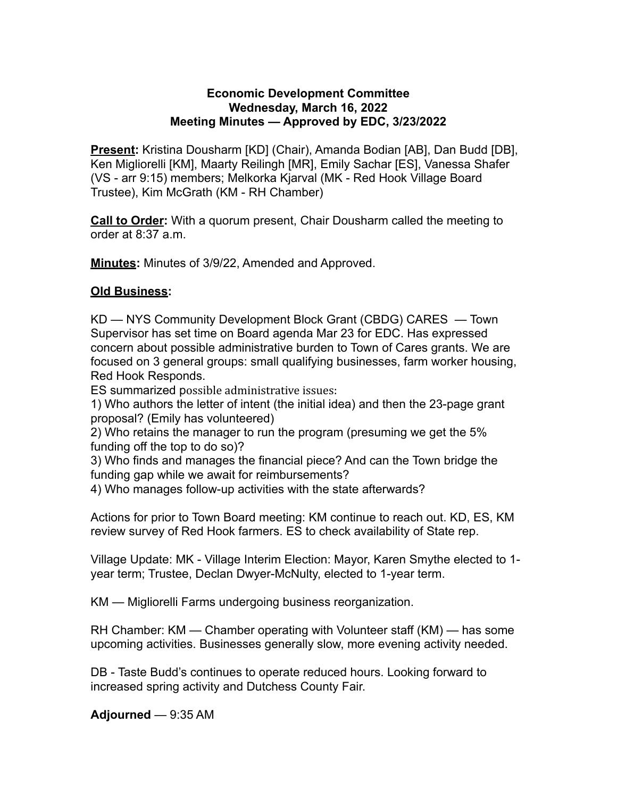## **Economic Development Committee Wednesday, March 16, 2022 Meeting Minutes — Approved by EDC, 3/23/2022**

**Present:** Kristina Dousharm [KD] (Chair), Amanda Bodian [AB], Dan Budd [DB], Ken Migliorelli [KM], Maarty Reilingh [MR], Emily Sachar [ES], Vanessa Shafer (VS - arr 9:15) members; Melkorka Kjarval (MK - Red Hook Village Board Trustee), Kim McGrath (KM - RH Chamber)

**Call to Order:** With a quorum present, Chair Dousharm called the meeting to order at 8:37 a.m.

**Minutes:** Minutes of 3/9/22, Amended and Approved.

## **Old Business:**

KD — NYS Community Development Block Grant (CBDG) CARES — Town Supervisor has set time on Board agenda Mar 23 for EDC. Has expressed concern about possible administrative burden to Town of Cares grants. We are focused on 3 general groups: small qualifying businesses, farm worker housing, Red Hook Responds.

ES summarized possible administrative issues:

1) Who authors the letter of intent (the initial idea) and then the 23-page grant proposal? (Emily has volunteered)

2) Who retains the manager to run the program (presuming we get the 5% funding off the top to do so)?

3) Who finds and manages the financial piece? And can the Town bridge the funding gap while we await for reimbursements?

4) Who manages follow-up activities with the state afterwards?

Actions for prior to Town Board meeting: KM continue to reach out. KD, ES, KM review survey of Red Hook farmers. ES to check availability of State rep.

Village Update: MK - Village Interim Election: Mayor, Karen Smythe elected to 1 year term; Trustee, Declan Dwyer-McNulty, elected to 1-year term.

KM — Migliorelli Farms undergoing business reorganization.

RH Chamber: KM — Chamber operating with Volunteer staff (KM) — has some upcoming activities. Businesses generally slow, more evening activity needed.

DB - Taste Budd's continues to operate reduced hours. Looking forward to increased spring activity and Dutchess County Fair.

**Adjourned** — 9:35 AM